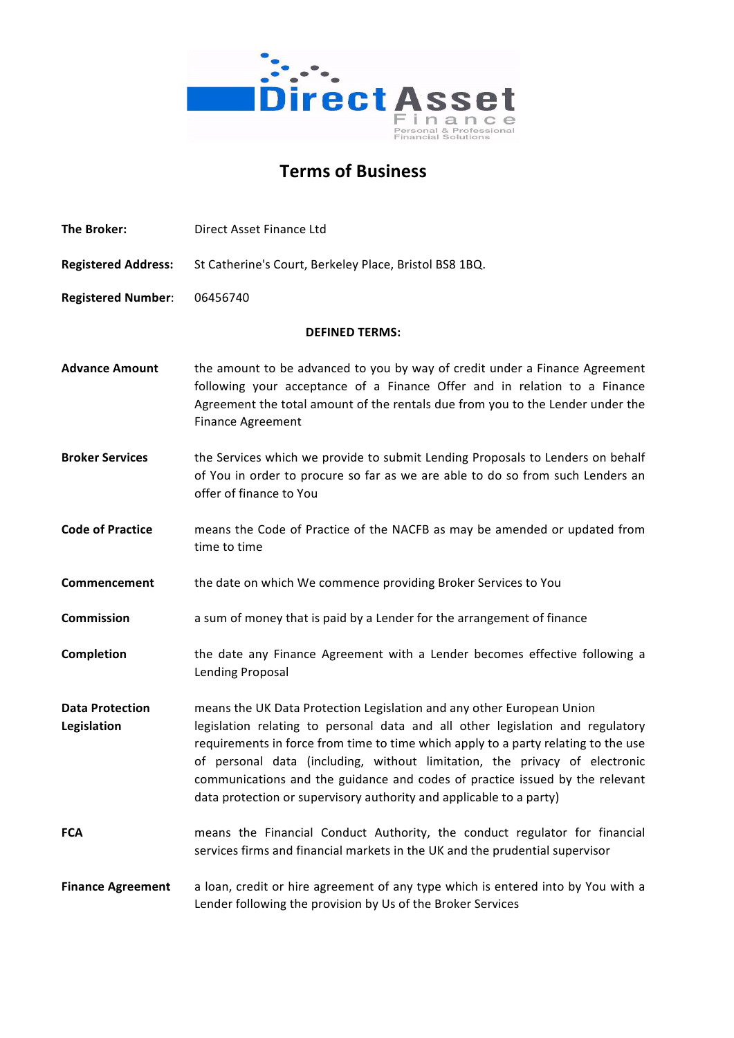

# **Terms of Business**

**The Broker:** Direct Asset Finance Ltd Registered Address: St Catherine's Court, Berkeley Place, Bristol BS8 1BQ. **Registered Number**: 06456740 **DEFINED TERMS: Advance Amount** the amount to be advanced to you by way of credit under a Finance Agreement following your acceptance of a Finance Offer and in relation to a Finance Agreement the total amount of the rentals due from you to the Lender under the Finance Agreement **Broker Services** the Services which we provide to submit Lending Proposals to Lenders on behalf of You in order to procure so far as we are able to do so from such Lenders an offer of finance to You **Code of Practice** means the Code of Practice of the NACFB as may be amended or updated from time to time **Commencement** the date on which We commence providing Broker Services to You **Commission** a sum of money that is paid by a Lender for the arrangement of finance **Completion** the date any Finance Agreement with a Lender becomes effective following a Lending Proposal **Data Protection** means the UK Data Protection Legislation and any other European Union **Legislation legislation** relating to personal data and all other legislation and regulatory requirements in force from time to time which apply to a party relating to the use of personal data (including, without limitation, the privacy of electronic communications and the guidance and codes of practice issued by the relevant data protection or supervisory authority and applicable to a party) **FCA** means the Financial Conduct Authority, the conduct regulator for financial services firms and financial markets in the UK and the prudential supervisor **Finance Agreement** a loan, credit or hire agreement of any type which is entered into by You with a Lender following the provision by Us of the Broker Services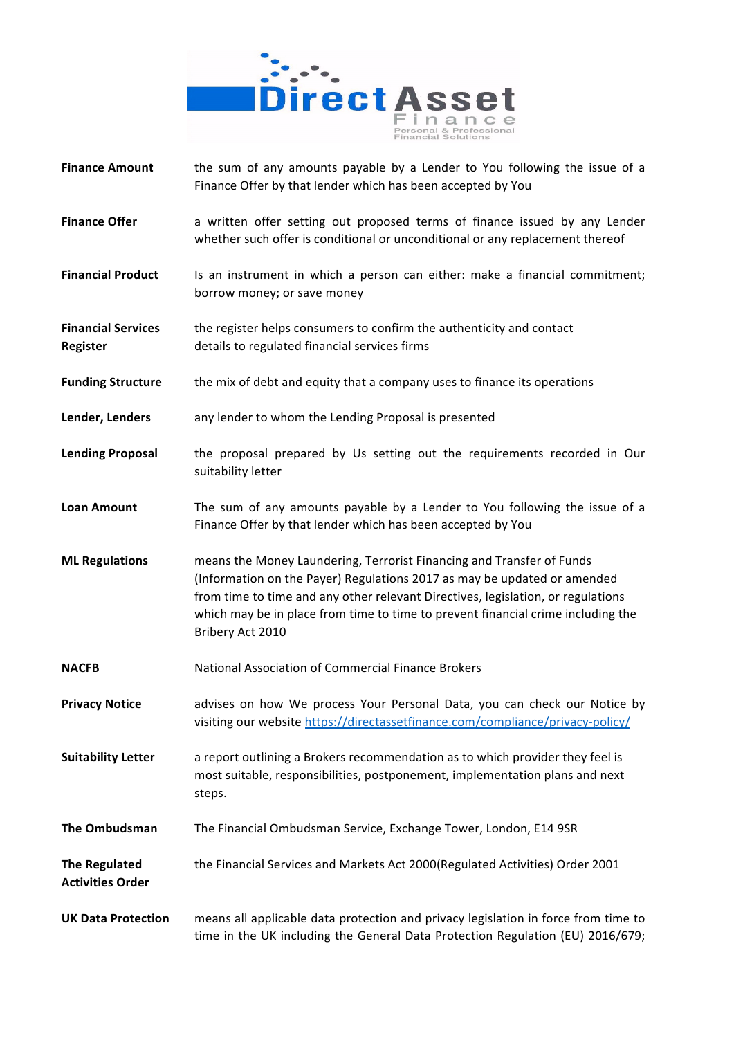

- **Finance Amount** the sum of any amounts payable by a Lender to You following the issue of a Finance Offer by that lender which has been accepted by You
- **Finance Offer** a written offer setting out proposed terms of finance issued by any Lender whether such offer is conditional or unconditional or any replacement thereof
- **Financial Product** Is an instrument in which a person can either: make a financial commitment; borrow money; or save money
- **Financial Services** the register helps consumers to confirm the authenticity and contact **Register** details to regulated financial services firms
- **Funding Structure** the mix of debt and equity that a company uses to finance its operations
- **Lender, Lenders** any lender to whom the Lending Proposal is presented
- **Lending Proposal** the proposal prepared by Us setting out the requirements recorded in Our suitability letter
- **Loan Amount** The sum of any amounts payable by a Lender to You following the issue of a Finance Offer by that lender which has been accepted by You
- **ML Regulations** means the Money Laundering, Terrorist Financing and Transfer of Funds (Information on the Payer) Regulations 2017 as may be updated or amended from time to time and any other relevant Directives, legislation, or regulations which may be in place from time to time to prevent financial crime including the Bribery Act 2010
- **NACFB** National Association of Commercial Finance Brokers
- **Privacy Notice advises on how We process Your Personal Data, you can check our Notice by** visiting our website https://directassetfinance.com/compliance/privacy-policy/
- **Suitability Letter** a report outlining a Brokers recommendation as to which provider they feel is most suitable, responsibilities, postponement, implementation plans and next steps.
- **The Ombudsman** The Financial Ombudsman Service, Exchange Tower, London, E14 9SR
- **The Regulated the Financial Services and Markets Act 2000(Regulated Activities) Order 2001 Activities Order**
- **UK Data Protection** means all applicable data protection and privacy legislation in force from time to time in the UK including the General Data Protection Regulation (EU) 2016/679;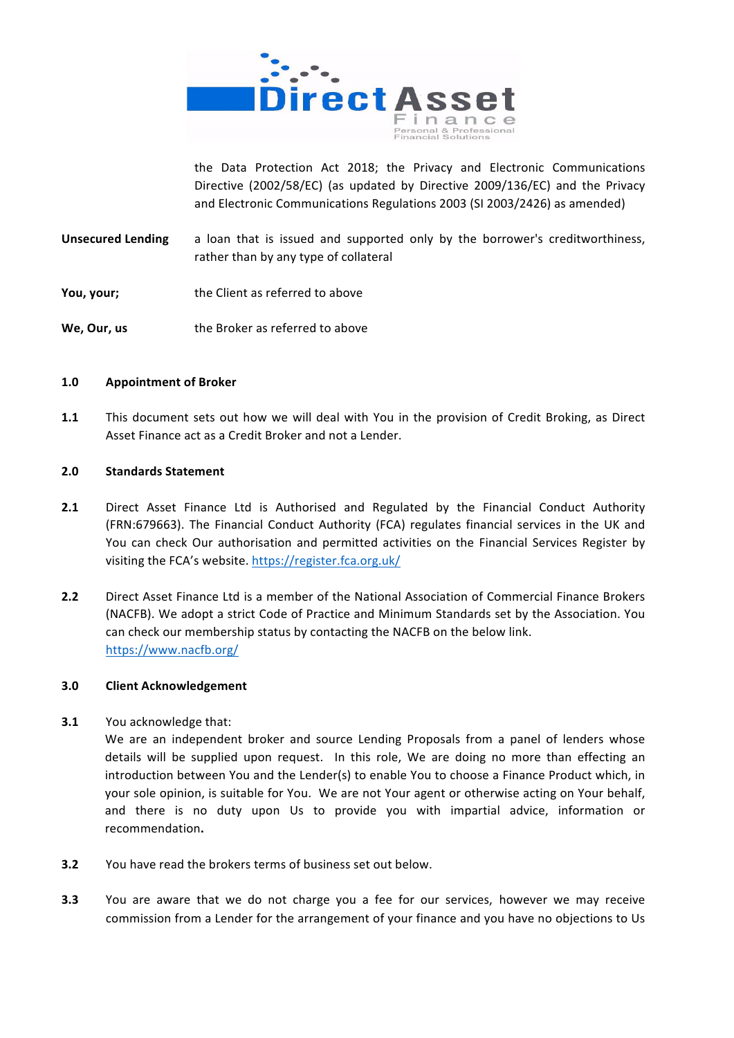

the Data Protection Act 2018; the Privacy and Electronic Communications Directive (2002/58/EC) (as updated by Directive 2009/136/EC) and the Privacy and Electronic Communications Regulations 2003 (SI 2003/2426) as amended)

- **Unsecured Lending** a loan that is issued and supported only by the borrower's creditworthiness, rather than by any type of collateral
- **You, your;** the Client as referred to above
- **We, Our, us** the Broker as referred to above

# **1.0 Appointment of Broker**

**1.1** This document sets out how we will deal with You in the provision of Credit Broking, as Direct Asset Finance act as a Credit Broker and not a Lender.

## **2.0 Standards Statement**

- **2.1** Direct Asset Finance Ltd is Authorised and Regulated by the Financial Conduct Authority (FRN:679663). The Financial Conduct Authority (FCA) regulates financial services in the UK and You can check Our authorisation and permitted activities on the Financial Services Register by visiting the FCA's website. https://register.fca.org.uk/
- **2.2** Direct Asset Finance Ltd is a member of the National Association of Commercial Finance Brokers (NACFB). We adopt a strict Code of Practice and Minimum Standards set by the Association. You can check our membership status by contacting the NACFB on the below link. https://www.nacfb.org/

# **3.0 Client Acknowledgement**

**3.1** You acknowledge that:

We are an independent broker and source Lending Proposals from a panel of lenders whose details will be supplied upon request. In this role, We are doing no more than effecting an introduction between You and the Lender(s) to enable You to choose a Finance Product which, in your sole opinion, is suitable for You. We are not Your agent or otherwise acting on Your behalf, and there is no duty upon Us to provide you with impartial advice, information or recommendation**.**

- **3.2** You have read the brokers terms of business set out below.
- **3.3** You are aware that we do not charge you a fee for our services, however we may receive commission from a Lender for the arrangement of your finance and you have no objections to Us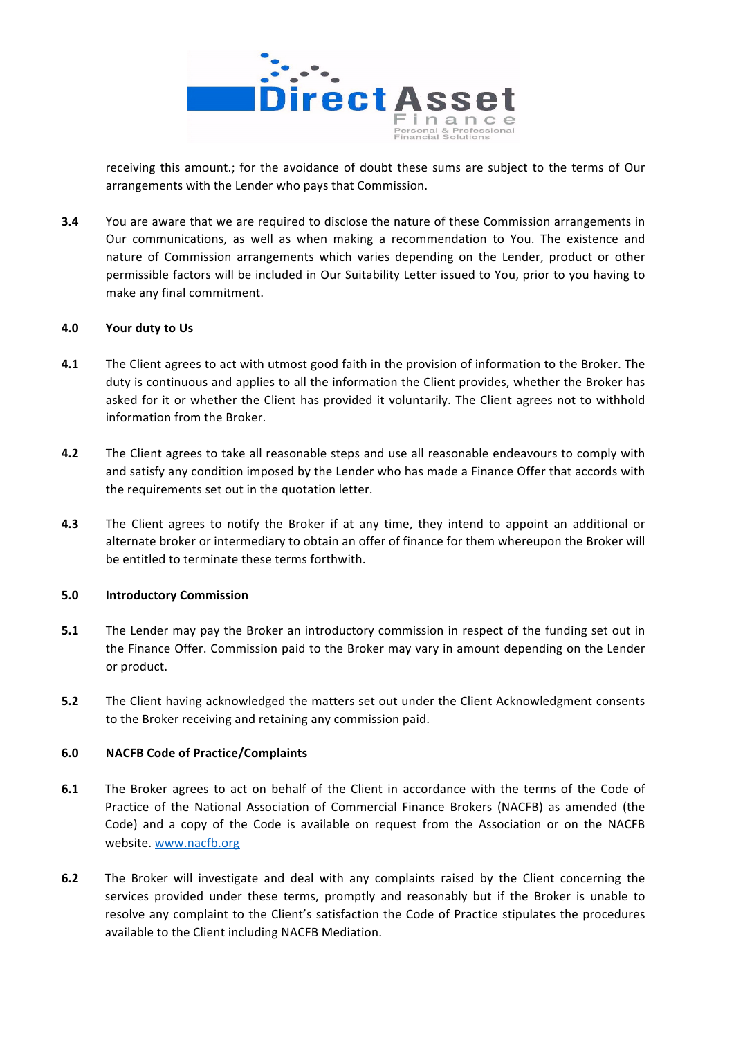

receiving this amount.; for the avoidance of doubt these sums are subject to the terms of Our arrangements with the Lender who pays that Commission.

**3.4** You are aware that we are required to disclose the nature of these Commission arrangements in Our communications, as well as when making a recommendation to You. The existence and nature of Commission arrangements which varies depending on the Lender, product or other permissible factors will be included in Our Suitability Letter issued to You, prior to you having to make any final commitment.

# **4.0 Your duty to Us**

- **4.1** The Client agrees to act with utmost good faith in the provision of information to the Broker. The duty is continuous and applies to all the information the Client provides, whether the Broker has asked for it or whether the Client has provided it voluntarily. The Client agrees not to withhold information from the Broker.
- **4.2** The Client agrees to take all reasonable steps and use all reasonable endeavours to comply with and satisfy any condition imposed by the Lender who has made a Finance Offer that accords with the requirements set out in the quotation letter.
- **4.3** The Client agrees to notify the Broker if at any time, they intend to appoint an additional or alternate broker or intermediary to obtain an offer of finance for them whereupon the Broker will be entitled to terminate these terms forthwith.

#### **5.0 Introductory Commission**

- **5.1** The Lender may pay the Broker an introductory commission in respect of the funding set out in the Finance Offer. Commission paid to the Broker may vary in amount depending on the Lender or product.
- **5.2** The Client having acknowledged the matters set out under the Client Acknowledgment consents to the Broker receiving and retaining any commission paid.

# **6.0 NACFB Code of Practice/Complaints**

- **6.1** The Broker agrees to act on behalf of the Client in accordance with the terms of the Code of Practice of the National Association of Commercial Finance Brokers (NACFB) as amended (the Code) and a copy of the Code is available on request from the Association or on the NACFB website. www.nacfb.org
- **6.2** The Broker will investigate and deal with any complaints raised by the Client concerning the services provided under these terms, promptly and reasonably but if the Broker is unable to resolve any complaint to the Client's satisfaction the Code of Practice stipulates the procedures available to the Client including NACFB Mediation.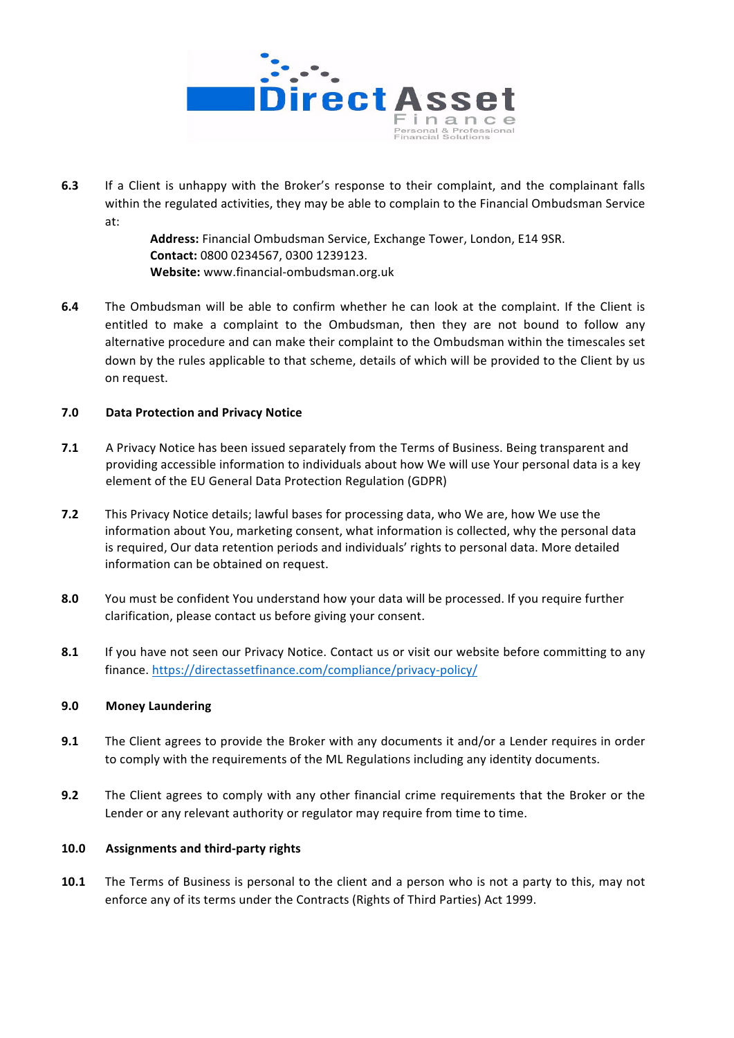

**6.3** If a Client is unhappy with the Broker's response to their complaint, and the complainant falls within the regulated activities, they may be able to complain to the Financial Ombudsman Service at: 

> Address: Financial Ombudsman Service, Exchange Tower, London, E14 9SR. **Contact:** 0800 0234567, 0300 1239123. **Website:** www.financial-ombudsman.org.uk

**6.4** The Ombudsman will be able to confirm whether he can look at the complaint. If the Client is entitled to make a complaint to the Ombudsman, then they are not bound to follow any alternative procedure and can make their complaint to the Ombudsman within the timescales set down by the rules applicable to that scheme, details of which will be provided to the Client by us on request.

# **7.0 Data Protection and Privacy Notice**

- **7.1** A Privacy Notice has been issued separately from the Terms of Business. Being transparent and providing accessible information to individuals about how We will use Your personal data is a key element of the EU General Data Protection Regulation (GDPR)
- **7.2** This Privacy Notice details; lawful bases for processing data, who We are, how We use the information about You, marketing consent, what information is collected, why the personal data is required, Our data retention periods and individuals' rights to personal data. More detailed information can be obtained on request.
- **8.0** You must be confident You understand how your data will be processed. If you require further clarification, please contact us before giving your consent.
- **8.1** If you have not seen our Privacy Notice. Contact us or visit our website before committing to any finance. https://directassetfinance.com/compliance/privacy-policy/

# **9.0 Money Laundering**

- **9.1** The Client agrees to provide the Broker with any documents it and/or a Lender requires in order to comply with the requirements of the ML Regulations including any identity documents.
- **9.2** The Client agrees to comply with any other financial crime requirements that the Broker or the Lender or any relevant authority or regulator may require from time to time.

# **10.0 Assignments and third-party rights**

**10.1** The Terms of Business is personal to the client and a person who is not a party to this, may not enforce any of its terms under the Contracts (Rights of Third Parties) Act 1999.